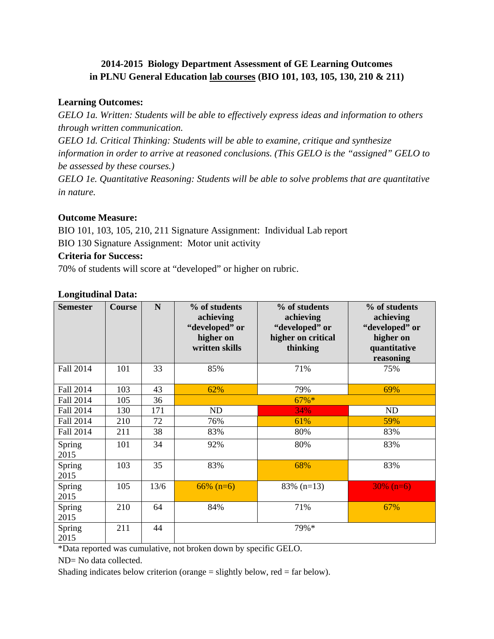# **2014-2015 Biology Department Assessment of GE Learning Outcomes in PLNU General Education lab courses (BIO 101, 103, 105, 130, 210 & 211)**

## **Learning Outcomes:**

*GELO 1a. Written: Students will be able to effectively express ideas and information to others through written communication.*

*GELO 1d. Critical Thinking: Students will be able to examine, critique and synthesize information in order to arrive at reasoned conclusions. (This GELO is the "assigned" GELO to be assessed by these courses.)*

*GELO 1e. Quantitative Reasoning: Students will be able to solve problems that are quantitative in nature.*

#### **Outcome Measure:**

BIO 101, 103, 105, 210, 211 Signature Assignment: Individual Lab report BIO 130 Signature Assignment: Motor unit activity

#### **Criteria for Success:**

70% of students will score at "developed" or higher on rubric.

#### **Longitudinal Data:**

| <b>Semester</b> | <b>Course</b> | N    | % of students<br>achieving<br>"developed" or<br>higher on<br>written skills | % of students<br>achieving<br>"developed" or<br>higher on critical<br>thinking | % of students<br>achieving<br>"developed" or<br>higher on<br>quantitative<br>reasoning |
|-----------------|---------------|------|-----------------------------------------------------------------------------|--------------------------------------------------------------------------------|----------------------------------------------------------------------------------------|
| Fall 2014       | 101           | 33   | 85%                                                                         | 71%                                                                            | 75%                                                                                    |
| Fall 2014       | 103           | 43   | 62%                                                                         | 79%                                                                            | 69%                                                                                    |
| Fall 2014       | 105           | 36   |                                                                             | $67\%*$                                                                        |                                                                                        |
| Fall 2014       | 130           | 171  | ND                                                                          | 34%                                                                            | ND                                                                                     |
| Fall 2014       | 210           | 72   | 76%                                                                         | 61%                                                                            | 59%                                                                                    |
| Fall 2014       | 211           | 38   | 83%                                                                         | 80%                                                                            | 83%                                                                                    |
| Spring<br>2015  | 101           | 34   | 92%                                                                         | 80%                                                                            | 83%                                                                                    |
| Spring<br>2015  | 103           | 35   | 83%                                                                         | 68%                                                                            | 83%                                                                                    |
| Spring<br>2015  | 105           | 13/6 | $66\%$ (n=6)                                                                | $83\%$ (n=13)                                                                  | $30\%$ (n=6)                                                                           |
| Spring<br>2015  | 210           | 64   | 84%                                                                         | 71%                                                                            | 67%                                                                                    |
| Spring<br>2015  | 211           | 44   |                                                                             | 79%*                                                                           |                                                                                        |

\*Data reported was cumulative, not broken down by specific GELO.

ND= No data collected.

Shading indicates below criterion (orange  $=$  slightly below, red  $=$  far below).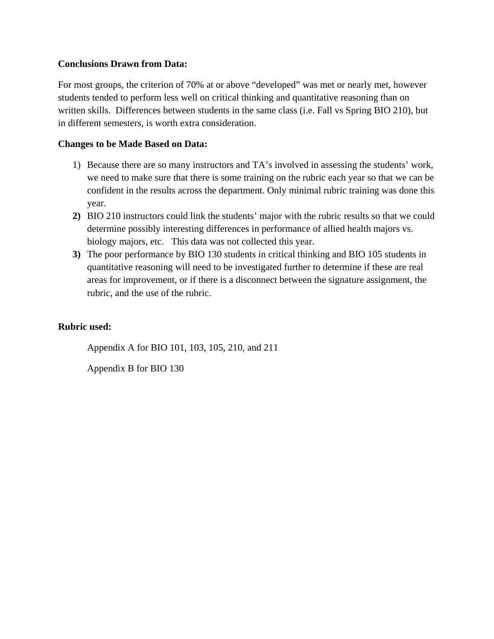#### **Conclusions Drawn from Data:**

For most groups, the criterion of 70% at or above "developed" was met or nearly met, however students tended to perform less well on critical thinking and quantitative reasoning than on written skills. Differences between students in the same class (i.e. Fall vs Spring BIO 210), but in different semesters, is worth extra consideration.

#### **Changes to be Made Based on Data:**

- 1) Because there are so many instructors and TA's involved in assessing the students' work, we need to make sure that there is some training on the rubric each year so that we can be confident in the results across the department. Only minimal rubric training was done this year.
- **2)** BIO 210 instructors could link the students' major with the rubric results so that we could determine possibly interesting differences in performance of allied health majors vs. biology majors, etc. This data was not collected this year.
- **3)** The poor performance by BIO 130 students in critical thinking and BIO 105 students in quantitative reasoning will need to be investigated further to determine if these are real areas for improvement, or if there is a disconnect between the signature assignment, the rubric, and the use of the rubric.

#### **Rubric used:**

Appendix A for BIO 101, 103, 105, 210, and 211

Appendix B for BIO 130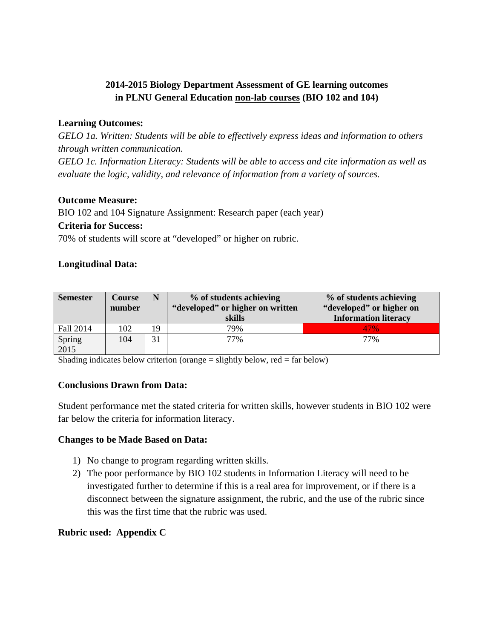# **2014-2015 Biology Department Assessment of GE learning outcomes in PLNU General Education non-lab courses (BIO 102 and 104)**

## **Learning Outcomes:**

*GELO 1a. Written: Students will be able to effectively express ideas and information to others through written communication.*

*GELO 1c. Information Literacy: Students will be able to access and cite information as well as evaluate the logic, validity, and relevance of information from a variety of sources.*

# **Outcome Measure:**

BIO 102 and 104 Signature Assignment: Research paper (each year) **Criteria for Success:**

70% of students will score at "developed" or higher on rubric.

# **Longitudinal Data:**

| <b>Semester</b> | Course<br>number | N  | % of students achieving<br>"developed" or higher on written<br>skills | % of students achieving<br>"developed" or higher on<br><b>Information literacy</b> |
|-----------------|------------------|----|-----------------------------------------------------------------------|------------------------------------------------------------------------------------|
| Fall 2014       | 102              | 19 | 79%                                                                   | 47%                                                                                |
| Spring<br>2015  | 104              | 31 | 77%                                                                   | 77%                                                                                |

Shading indicates below criterion (orange = slightly below, red = far below)

## **Conclusions Drawn from Data:**

Student performance met the stated criteria for written skills, however students in BIO 102 were far below the criteria for information literacy.

## **Changes to be Made Based on Data:**

- 1) No change to program regarding written skills.
- 2) The poor performance by BIO 102 students in Information Literacy will need to be investigated further to determine if this is a real area for improvement, or if there is a disconnect between the signature assignment, the rubric, and the use of the rubric since this was the first time that the rubric was used.

## **Rubric used: Appendix C**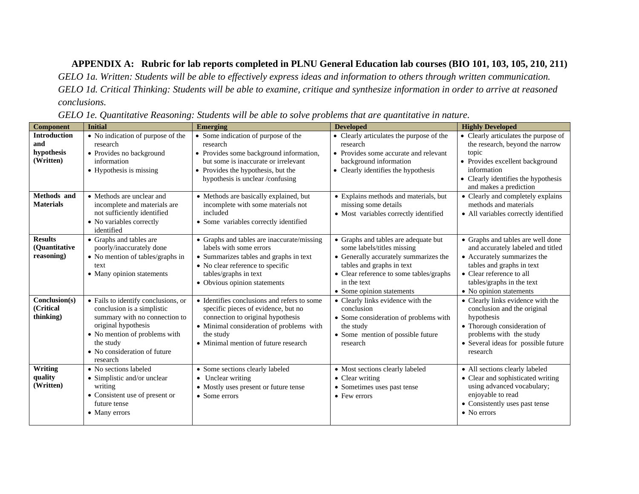#### **APPENDIX A: Rubric for lab reports completed in PLNU General Education lab courses (BIO 101, 103, 105, 210, 211)**

*GELO 1a. Written: Students will be able to effectively express ideas and information to others through written communication. GELO 1d. Critical Thinking: Students will be able to examine, critique and synthesize information in order to arrive at reasoned conclusions.*

| <b>Component</b>           | <b>Initial</b>                                              | <b>Emerging</b>                                                          | <b>Developed</b>                                | <b>Highly Developed</b>                                       |
|----------------------------|-------------------------------------------------------------|--------------------------------------------------------------------------|-------------------------------------------------|---------------------------------------------------------------|
| <b>Introduction</b>        | • No indication of purpose of the                           | • Some indication of purpose of the                                      | • Clearly articulates the purpose of the        | • Clearly articulates the purpose of                          |
| and                        | research                                                    | research                                                                 | research                                        | the research, beyond the narrow                               |
| hypothesis                 | • Provides no background                                    | • Provides some background information,                                  | • Provides some accurate and relevant           | topic                                                         |
| (Written)                  | information                                                 | but some is inaccurate or irrelevant                                     | background information                          | • Provides excellent background                               |
|                            | • Hypothesis is missing                                     | • Provides the hypothesis, but the                                       | • Clearly identifies the hypothesis             | information                                                   |
|                            |                                                             | hypothesis is unclear /confusing                                         |                                                 | • Clearly identifies the hypothesis<br>and makes a prediction |
| Methods and                | • Methods are unclear and                                   | • Methods are basically explained, but                                   | • Explains methods and materials, but           | • Clearly and completely explains                             |
| <b>Materials</b>           | incomplete and materials are                                | incomplete with some materials not                                       | missing some details                            | methods and materials                                         |
|                            | not sufficiently identified                                 | included                                                                 | • Most variables correctly identified           | • All variables correctly identified                          |
|                            | • No variables correctly                                    | • Some variables correctly identified                                    |                                                 |                                                               |
|                            | identified                                                  |                                                                          |                                                 |                                                               |
| <b>Results</b>             | • Graphs and tables are                                     | • Graphs and tables are inaccurate/missing                               | • Graphs and tables are adequate but            | • Graphs and tables are well done                             |
| (Ouantitative              | poorly/inaccurately done                                    | labels with some errors                                                  | some labels/titles missing                      | and accurately labeled and titled                             |
| reasoning)                 | • No mention of tables/graphs in                            | • Summarizes tables and graphs in text                                   | • Generally accurately summarizes the           | • Accurately summarizes the                                   |
|                            | text                                                        | • No clear reference to specific                                         | tables and graphs in text                       | tables and graphs in text                                     |
|                            | • Many opinion statements                                   | tables/graphs in text                                                    | • Clear reference to some tables/graphs         | • Clear reference to all                                      |
|                            |                                                             | • Obvious opinion statements                                             | in the text                                     | tables/graphs in the text                                     |
|                            |                                                             |                                                                          | • Some opinion statements                       | • No opinion statements                                       |
| Conclusion(s)<br>(Critical | • Fails to identify conclusions, or                         | • Identifies conclusions and refers to some                              | • Clearly links evidence with the<br>conclusion | • Clearly links evidence with the                             |
| thinking)                  | conclusion is a simplistic<br>summary with no connection to | specific pieces of evidence, but no<br>connection to original hypothesis | • Some consideration of problems with           | conclusion and the original<br>hypothesis                     |
|                            | original hypothesis                                         | • Minimal consideration of problems with                                 | the study                                       | • Thorough consideration of                                   |
|                            | • No mention of problems with                               | the study                                                                | • Some mention of possible future               | problems with the study                                       |
|                            | the study                                                   | • Minimal mention of future research                                     | research                                        | • Several ideas for possible future                           |
|                            | • No consideration of future                                |                                                                          |                                                 | research                                                      |
|                            | research                                                    |                                                                          |                                                 |                                                               |
| Writing                    | • No sections labeled                                       | • Some sections clearly labeled                                          | • Most sections clearly labeled                 | • All sections clearly labeled                                |
| quality                    | • Simplistic and/or unclear                                 | • Unclear writing                                                        | • Clear writing                                 | • Clear and sophisticated writing                             |
| (Written)                  | writing                                                     | • Mostly uses present or future tense                                    | • Sometimes uses past tense                     | using advanced vocabulary;                                    |
|                            | • Consistent use of present or                              | • Some errors                                                            | $\bullet$ Few errors                            | enjoyable to read                                             |
|                            | future tense                                                |                                                                          |                                                 | • Consistently uses past tense                                |
|                            | • Many errors                                               |                                                                          |                                                 | $\bullet$ No errors                                           |
|                            |                                                             |                                                                          |                                                 |                                                               |

*GELO 1e. Quantitative Reasoning: Students will be able to solve problems that are quantitative in nature.*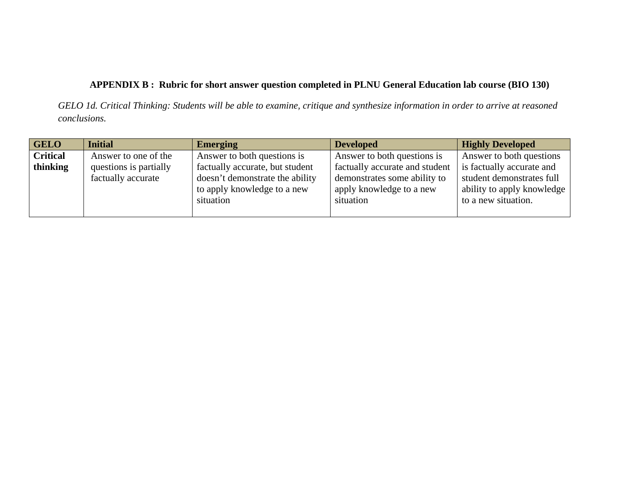# **APPENDIX B : Rubric for short answer question completed in PLNU General Education lab course (BIO 130)**

*GELO 1d. Critical Thinking: Students will be able to examine, critique and synthesize information in order to arrive at reasoned conclusions.*

| <b>GELO</b>     | <b>Initial</b>         | <b>Emerging</b>                 | <b>Developed</b>               | <b>Highly Developed</b>    |
|-----------------|------------------------|---------------------------------|--------------------------------|----------------------------|
| <b>Critical</b> | Answer to one of the   | Answer to both questions is     | Answer to both questions is    | Answer to both questions   |
| thinking        | questions is partially | factually accurate, but student | factually accurate and student | is factually accurate and  |
|                 | factually accurate     | doesn't demonstrate the ability | demonstrates some ability to   | student demonstrates full  |
|                 |                        | to apply knowledge to a new     | apply knowledge to a new       | ability to apply knowledge |
|                 |                        | situation                       | situation                      | to a new situation.        |
|                 |                        |                                 |                                |                            |